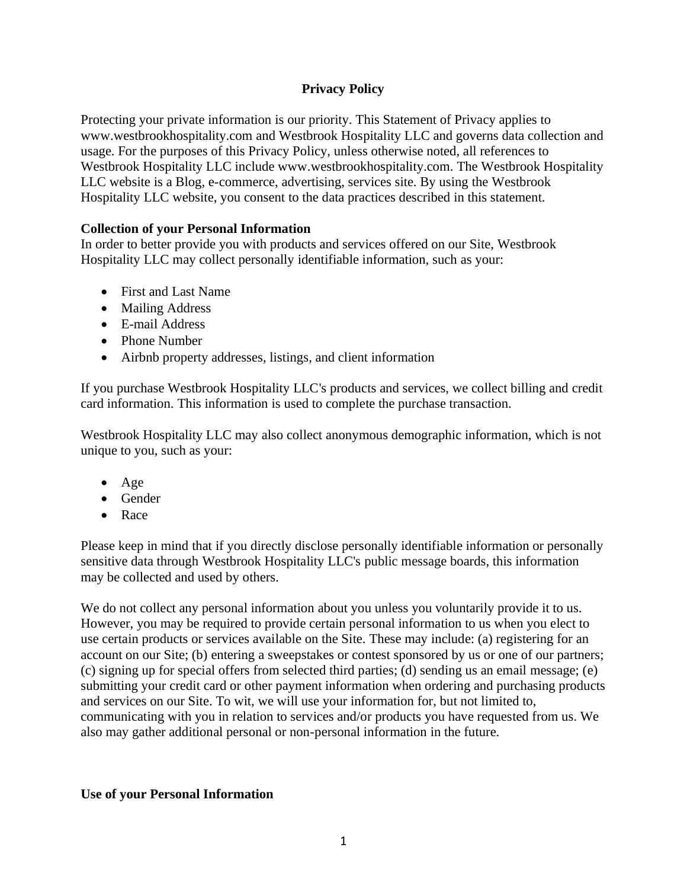# **Privacy Policy**

Protecting your private information is our priority. This Statement of Privacy applies to www.westbrookhospitality.com and Westbrook Hospitality LLC and governs data collection and usage. For the purposes of this Privacy Policy, unless otherwise noted, all references to Westbrook Hospitality LLC include www.westbrookhospitality.com. The Westbrook Hospitality LLC website is a Blog, e-commerce, advertising, services site. By using the Westbrook Hospitality LLC website, you consent to the data practices described in this statement.

## **Collection of your Personal Information**

In order to better provide you with products and services offered on our Site, Westbrook Hospitality LLC may collect personally identifiable information, such as your:

- First and Last Name
- Mailing Address
- E-mail Address
- Phone Number
- Airbnb property addresses, listings, and client information

If you purchase Westbrook Hospitality LLC's products and services, we collect billing and credit card information. This information is used to complete the purchase transaction.

Westbrook Hospitality LLC may also collect anonymous demographic information, which is not unique to you, such as your:

- Age
- Gender
- Race

Please keep in mind that if you directly disclose personally identifiable information or personally sensitive data through Westbrook Hospitality LLC's public message boards, this information may be collected and used by others.

We do not collect any personal information about you unless you voluntarily provide it to us. However, you may be required to provide certain personal information to us when you elect to use certain products or services available on the Site. These may include: (a) registering for an account on our Site; (b) entering a sweepstakes or contest sponsored by us or one of our partners; (c) signing up for special offers from selected third parties; (d) sending us an email message; (e) submitting your credit card or other payment information when ordering and purchasing products and services on our Site. To wit, we will use your information for, but not limited to, communicating with you in relation to services and/or products you have requested from us. We also may gather additional personal or non-personal information in the future.

## **Use of your Personal Information**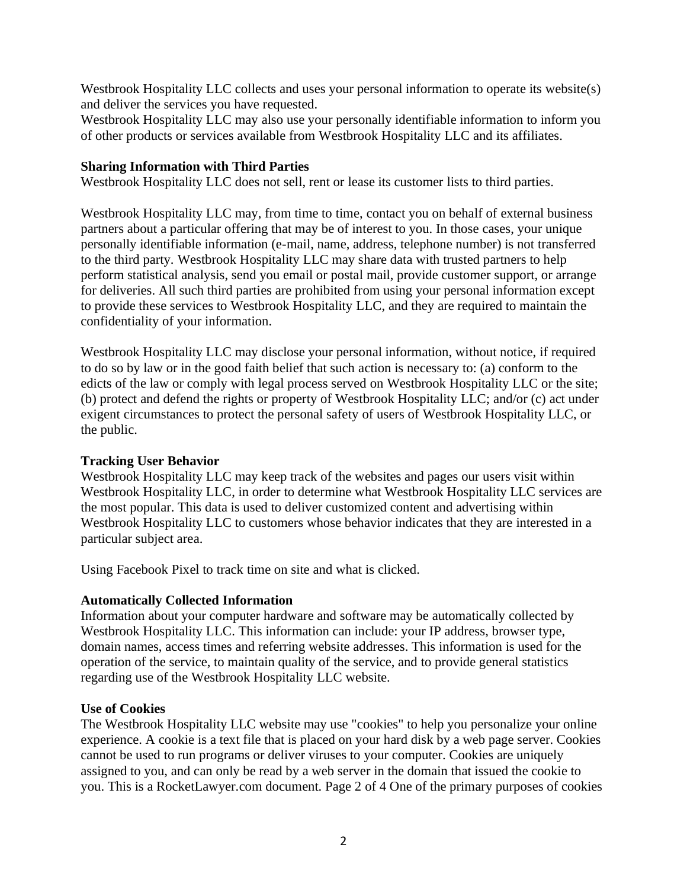Westbrook Hospitality LLC collects and uses your personal information to operate its website(s) and deliver the services you have requested.

Westbrook Hospitality LLC may also use your personally identifiable information to inform you of other products or services available from Westbrook Hospitality LLC and its affiliates.

#### **Sharing Information with Third Parties**

Westbrook Hospitality LLC does not sell, rent or lease its customer lists to third parties.

Westbrook Hospitality LLC may, from time to time, contact you on behalf of external business partners about a particular offering that may be of interest to you. In those cases, your unique personally identifiable information (e-mail, name, address, telephone number) is not transferred to the third party. Westbrook Hospitality LLC may share data with trusted partners to help perform statistical analysis, send you email or postal mail, provide customer support, or arrange for deliveries. All such third parties are prohibited from using your personal information except to provide these services to Westbrook Hospitality LLC, and they are required to maintain the confidentiality of your information.

Westbrook Hospitality LLC may disclose your personal information, without notice, if required to do so by law or in the good faith belief that such action is necessary to: (a) conform to the edicts of the law or comply with legal process served on Westbrook Hospitality LLC or the site; (b) protect and defend the rights or property of Westbrook Hospitality LLC; and/or (c) act under exigent circumstances to protect the personal safety of users of Westbrook Hospitality LLC, or the public.

#### **Tracking User Behavior**

Westbrook Hospitality LLC may keep track of the websites and pages our users visit within Westbrook Hospitality LLC, in order to determine what Westbrook Hospitality LLC services are the most popular. This data is used to deliver customized content and advertising within Westbrook Hospitality LLC to customers whose behavior indicates that they are interested in a particular subject area.

Using Facebook Pixel to track time on site and what is clicked.

## **Automatically Collected Information**

Information about your computer hardware and software may be automatically collected by Westbrook Hospitality LLC. This information can include: your IP address, browser type, domain names, access times and referring website addresses. This information is used for the operation of the service, to maintain quality of the service, and to provide general statistics regarding use of the Westbrook Hospitality LLC website.

#### **Use of Cookies**

The Westbrook Hospitality LLC website may use "cookies" to help you personalize your online experience. A cookie is a text file that is placed on your hard disk by a web page server. Cookies cannot be used to run programs or deliver viruses to your computer. Cookies are uniquely assigned to you, and can only be read by a web server in the domain that issued the cookie to you. This is a RocketLawyer.com document. Page 2 of 4 One of the primary purposes of cookies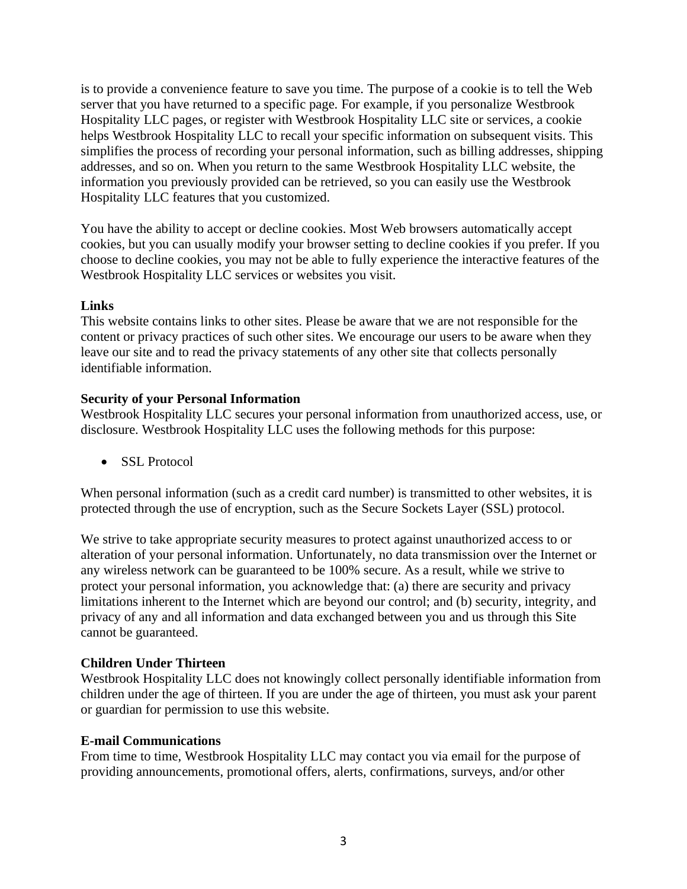is to provide a convenience feature to save you time. The purpose of a cookie is to tell the Web server that you have returned to a specific page. For example, if you personalize Westbrook Hospitality LLC pages, or register with Westbrook Hospitality LLC site or services, a cookie helps Westbrook Hospitality LLC to recall your specific information on subsequent visits. This simplifies the process of recording your personal information, such as billing addresses, shipping addresses, and so on. When you return to the same Westbrook Hospitality LLC website, the information you previously provided can be retrieved, so you can easily use the Westbrook Hospitality LLC features that you customized.

You have the ability to accept or decline cookies. Most Web browsers automatically accept cookies, but you can usually modify your browser setting to decline cookies if you prefer. If you choose to decline cookies, you may not be able to fully experience the interactive features of the Westbrook Hospitality LLC services or websites you visit.

#### **Links**

This website contains links to other sites. Please be aware that we are not responsible for the content or privacy practices of such other sites. We encourage our users to be aware when they leave our site and to read the privacy statements of any other site that collects personally identifiable information.

### **Security of your Personal Information**

Westbrook Hospitality LLC secures your personal information from unauthorized access, use, or disclosure. Westbrook Hospitality LLC uses the following methods for this purpose:

• SSL Protocol

When personal information (such as a credit card number) is transmitted to other websites, it is protected through the use of encryption, such as the Secure Sockets Layer (SSL) protocol.

We strive to take appropriate security measures to protect against unauthorized access to or alteration of your personal information. Unfortunately, no data transmission over the Internet or any wireless network can be guaranteed to be 100% secure. As a result, while we strive to protect your personal information, you acknowledge that: (a) there are security and privacy limitations inherent to the Internet which are beyond our control; and (b) security, integrity, and privacy of any and all information and data exchanged between you and us through this Site cannot be guaranteed.

## **Children Under Thirteen**

Westbrook Hospitality LLC does not knowingly collect personally identifiable information from children under the age of thirteen. If you are under the age of thirteen, you must ask your parent or guardian for permission to use this website.

#### **E-mail Communications**

From time to time, Westbrook Hospitality LLC may contact you via email for the purpose of providing announcements, promotional offers, alerts, confirmations, surveys, and/or other